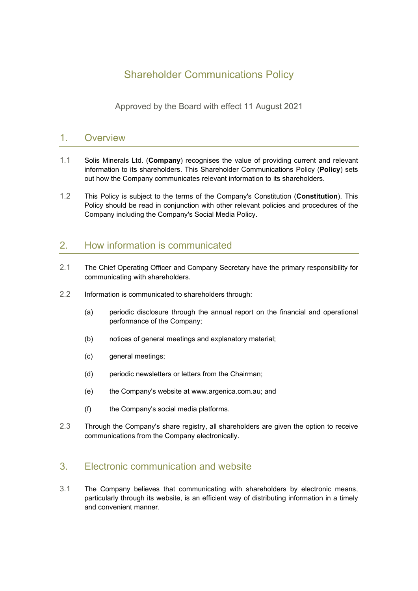# Shareholder Communications Policy

Approved by the Board with effect 11 August 2021

### 1. Overview

- 1.1 Solis Minerals Ltd. (**Company**) recognises the value of providing current and relevant information to its shareholders. This Shareholder Communications Policy (**Policy**) sets out how the Company communicates relevant information to its shareholders.
- 1.2 This Policy is subject to the terms of the Company's Constitution (**Constitution**). This Policy should be read in conjunction with other relevant policies and procedures of the Company including the Company's Social Media Policy.

## 2. How information is communicated

- 2.1 The Chief Operating Officer and Company Secretary have the primary responsibility for communicating with shareholders.
- 2.2 Information is communicated to shareholders through:
	- (a) periodic disclosure through the annual report on the financial and operational performance of the Company;
	- (b) notices of general meetings and explanatory material;
	- (c) general meetings;
	- (d) periodic newsletters or letters from the Chairman;
	- (e) the Company's website at www.argenica.com.au; and
	- (f) the Company's social media platforms.
- 2.3 Through the Company's share registry, all shareholders are given the option to receive communications from the Company electronically.

## 3. Electronic communication and website

3.1 The Company believes that communicating with shareholders by electronic means, particularly through its website, is an efficient way of distributing information in a timely and convenient manner.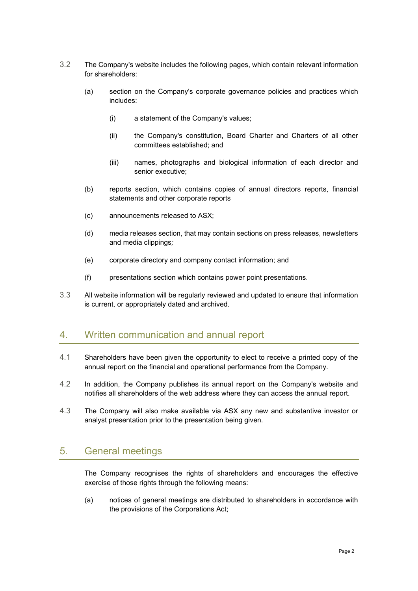- 3.2 The Company's website includes the following pages, which contain relevant information for shareholders:
	- (a) section on the Company's corporate governance policies and practices which includes:
		- (i) a statement of the Company's values;
		- (ii) the Company's constitution, Board Charter and Charters of all other committees established; and
		- (iii) names, photographs and biological information of each director and senior executive;
	- (b) reports section, which contains copies of annual directors reports, financial statements and other corporate reports
	- (c) announcements released to ASX;
	- (d) media releases section, that may contain sections on press releases, newsletters and media clippings*;*
	- (e) corporate directory and company contact information; and
	- (f) presentations section which contains power point presentations.
- 3.3 All website information will be regularly reviewed and updated to ensure that information is current, or appropriately dated and archived.

#### 4. Written communication and annual report

- 4.1 Shareholders have been given the opportunity to elect to receive a printed copy of the annual report on the financial and operational performance from the Company.
- 4.2 In addition, the Company publishes its annual report on the Company's website and notifies all shareholders of the web address where they can access the annual report.
- 4.3 The Company will also make available via ASX any new and substantive investor or analyst presentation prior to the presentation being given.

#### 5. General meetings

The Company recognises the rights of shareholders and encourages the effective exercise of those rights through the following means:

(a) notices of general meetings are distributed to shareholders in accordance with the provisions of the Corporations Act;